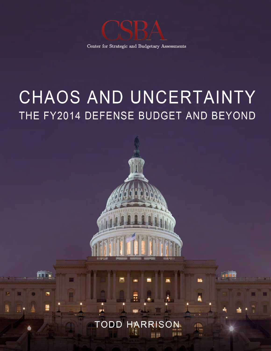

Center for Strategic and Budgetary Assessments

# CHAOS AND UNCERTAINTY THE FY2014 DEFENSE BUDGET AND BEYOND



a se

na na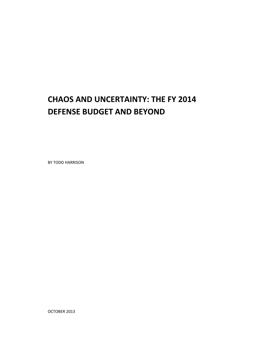# **CHAOS AND UNCERTAINTY: THE FY 2014 DEFENSE BUDGET AND BEYOND**

BY TODD HARRISON

OCTOBER 2013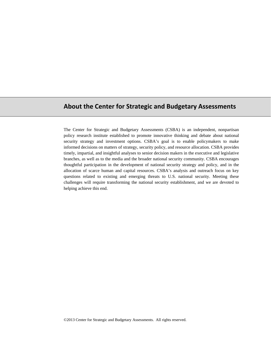## **About the Center for Strategic and Budgetary Assessments**

The Center for Strategic and Budgetary Assessments (CSBA) is an independent, nonpartisan policy research institute established to promote innovative thinking and debate about national security strategy and investment options. CSBA's goal is to enable policymakers to make informed decisions on matters of strategy, security policy, and resource allocation. CSBA provides timely, impartial, and insightful analyses to senior decision makers in the executive and legislative branches, as well as to the media and the broader national security community. CSBA encourages thoughtful participation in the development of national security strategy and policy, and in the allocation of scarce human and capital resources. CSBA's analysis and outreach focus on key questions related to existing and emerging threats to U.S. national security. Meeting these challenges will require transforming the national security establishment, and we are devoted to helping achieve this end.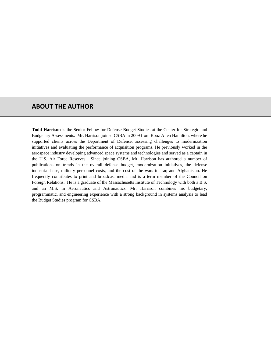#### **ABOUT THE AUTHOR**

**Todd Harrison** is the Senior Fellow for Defense Budget Studies at the Center for Strategic and Budgetary Assessments. Mr. Harrison joined CSBA in 2009 from Booz Allen Hamilton, where he supported clients across the Department of Defense, assessing challenges to modernization initiatives and evaluating the performance of acquisition programs. He previously worked in the aerospace industry developing advanced space systems and technologies and served as a captain in the U.S. Air Force Reserves. Since joining CSBA, Mr. Harrison has authored a number of publications on trends in the overall defense budget, modernization initiatives, the defense industrial base, military personnel costs, and the cost of the wars in Iraq and Afghanistan. He frequently contributes to print and broadcast media and is a term member of the Council on Foreign Relations. He is a graduate of the Massachusetts Institute of Technology with both a B.S. and an M.S. in Aeronautics and Astronautics. Mr. Harrison combines his budgetary, programmatic, and engineering experience with a strong background in systems analysis to lead the Budget Studies program for CSBA.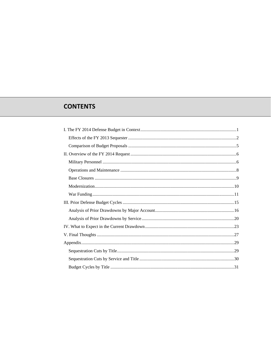# **CONTENTS**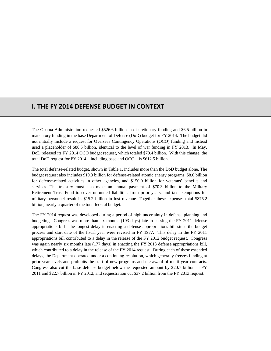## **I. THE FY 2014 DEFENSE BUDGET IN CONTEXT**

The Obama Administration requested \$526.6 billion in discretionary funding and \$6.5 billion in mandatory funding in the base Department of Defense (DoD) budget for FY 2014. The budget did not initially include a request for Overseas Contingency Operations (OCO) funding and instead used a placeholder of \$88.5 billion, identical to the level of war funding in FY 2013. In May, DoD released its FY 2014 OCO budget request, which totaled \$79.4 billion. With this change, the total DoD request for FY 2014—including base and OCO—is \$612.5 billion.

The total defense-related budget, shown in Table 1, includes more than the DoD budget alone. The budget request also includes \$19.3 billion for defense-related atomic energy programs, \$8.0 billion for defense-related activities in other agencies, and \$150.0 billion for veterans' benefits and services. The treasury must also make an annual payment of \$70.3 billion to the Military Retirement Trust Fund to cover unfunded liabilities from prior years, and tax exemptions for military personnel result in \$15.2 billion in lost revenue. Together these expenses total \$875.2 billion, nearly a quarter of the total federal budget.

The FY 2014 request was developed during a period of high uncertainty in defense planning and budgeting. Congress was more than six months (193 days) late in passing the FY 2011 defense appropriations bill—the longest delay in enacting a defense appropriations bill since the budget process and start date of the fiscal year were revised in FY 1977. This delay in the FY 2011 appropriations bill contributed to a delay in the release of the FY 2012 budget request. Congress was again nearly six months late (177 days) in enacting the FY 2013 defense appropriations bill, which contributed to a delay in the release of the FY 2014 request. During each of these extended delays, the Department operated under a continuing resolution, which generally freezes funding at prior year levels and prohibits the start of new programs and the award of multi-year contracts. Congress also cut the base defense budget below the requested amount by \$20.7 billion in FY 2011 and \$22.7 billion in FY 2012, and sequestration cut \$37.2 billion from the FY 2013 request.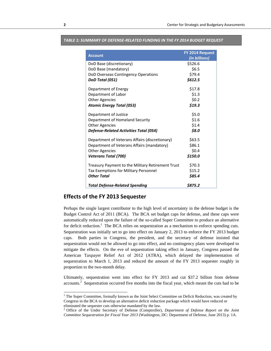| <b>Account</b>                                    | FY 2014 Request<br>(in billions) |
|---------------------------------------------------|----------------------------------|
| DoD Base (discretionary)                          | \$526.6                          |
| DoD Base (mandatory)                              | \$6.5                            |
| DoD Overseas Contingency Operations               | \$79.4                           |
| DoD Total (051)                                   | \$612.5                          |
| Department of Energy                              | \$17.8                           |
| Department of Labor                               | \$1.3                            |
| <b>Other Agencies</b>                             | \$0.2\$                          |
| <b>Atomic Energy Total (053)</b>                  | \$19.3                           |
| Department of Justice                             | \$5.0                            |
| Department of Homeland Security                   | \$1.6                            |
| <b>Other Agencies</b>                             | \$1.4                            |
| <b>Defense-Related Activities Total (054)</b>     | \$8.0                            |
| Department of Veterans Affairs (discretionary)    | \$63.5                           |
| Department of Veterans Affairs (mandatory)        | \$86.1                           |
| <b>Other Agencies</b>                             | \$0.4\$                          |
| <b>Veterans Total (700)</b>                       | \$150.0                          |
| Treasury Payment to the Military Retirement Trust | \$70.3                           |
| Tax Exemptions for Military Personnel             | \$15.2                           |
| <b>Other Total</b>                                | \$85.4                           |
| <b>Total Defense-Related Spending</b>             | \$875.2                          |

#### *TABLE 1: SUMMARY OF DEFENSE‐RELATED FUNDING IN THE FY 2014 BUDGET REQUEST*

#### **Effects of the FY 2013 Sequester**

Perhaps the single largest contributor to the high level of uncertainty in the defense budget is the Budget Control Act of 2011 (BCA). The BCA set budget caps for defense, and these caps were automatically reduced upon the failure of the so-called Super Committee to produce an alternative for deficit reduction.<sup>1</sup> The BCA relies on sequestration as a mechanism to enforce spending cuts. Sequestration was initially set to go into effect on January 2, 2013 to enforce the FY 2013 budget caps. Both parties in Congress, the president, and the secretary of defense insisted that sequestration would not be allowed to go into effect, and no contingency plans were developed to mitigate the effects. On the eve of sequestration taking effect in January, Congress passed the American Taxpayer Relief Act of 2012 (ATRA), which delayed the implementation of sequestration to March 1, 2013 and reduced the amount of the FY 2013 sequester roughly in proportion to the two-month delay.

Ultimately, sequestration went into effect for FY 2013 and cut \$37.2 billion from defense accounts.<sup>2</sup> Sequestration occurred five months into the fiscal year, which meant the cuts had to be

-

<sup>&</sup>lt;sup>1</sup> The Super Committee, formally known as the Joint Select Committee on Deficit Reduction, was created by Congress in the BCA to develop an alternative deficit reduction package which would have reduced or eliminated the sequester cuts otherwise mandated by the law.

<sup>2</sup> Office of the Under Secretary of Defense (Comptroller), *Department of Defense Report on the Joint Committee Sequestration for Fiscal Year 2013* (Washington, DC: Department of Defense, June 2013) p. 1A.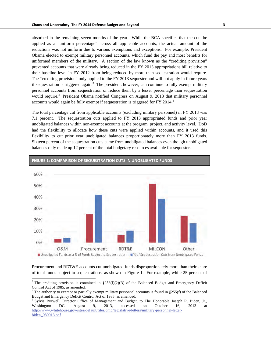absorbed in the remaining seven months of the year. While the BCA specifies that the cuts be applied as a "uniform percentage" across all applicable accounts, the actual amount of the reductions was not uniform due to various exemptions and exceptions. For example, President Obama elected to exempt military personnel accounts, which fund the pay and most benefits for uniformed members of the military. A section of the law known as the "crediting provision" prevented accounts that were already being reduced in the FY 2013 appropriations bill relative to their baseline level in FY 2012 from being reduced by more than sequestration would require. The "crediting provision" only applied to the FY 2013 sequester and will not apply in future years if sequestration is triggered again.<sup>3</sup> The president, however, can continue to fully exempt military personnel accounts from sequestration or reduce them by a lesser percentage than sequestration would require.<sup>4</sup> President Obama notified Congress on August 9, 2013 that military personnel accounts would again be fully exempt if sequestration is triggered for FY 2014.<sup>5</sup>

The total percentage cut from applicable accounts (excluding military personnel) in FY 2013 was 7.1 percent. The sequestration cuts applied to FY 2013 appropriated funds and prior year unobligated balances within non-exempt accounts at the program, project, and activity level. DoD had the flexibility to allocate how these cuts were applied within accounts, and it used this flexibility to cut prior year unobligated balances proportionately more than FY 2013 funds. Sixteen percent of the sequestration cuts came from unobligated balances even though unobligated balances only made up 12 percent of the total budgetary resources available for sequester.



**FIGURE 1: COMPARISON OF SEQUESTRATION CUTS IN UNOBLIGATED FUNDS**

Procurement and RDT&E accounts cut unobligated funds disproportionately more than their share of total funds subject to sequestrations, as shown in Figure 1. For example, while 25 percent of

<sup>&</sup>lt;sup>3</sup> The crediting provision is contained in §253(f)(2)(B) of the Balanced Budget and Emergency Deficit Control Act of 1985, as amended. 4 The authority to exempt or partially exempt military personnel accounts is found in §255(f) of the Balanced

Budget and Emergency Deficit Control Act of 1985, as amended. 5

<sup>&</sup>lt;sup>5</sup> Sylvia Burwell, Director Office of Management and Budget, to The Honorable Joseph R. Biden, Jr., Washington DC, August 9, 2013, accessed on October 16, 2013 at http://www.whitehouse.gov/sites/default/files/omb/legislative/letters/military-personnel-letterbiden\_080913.pdf.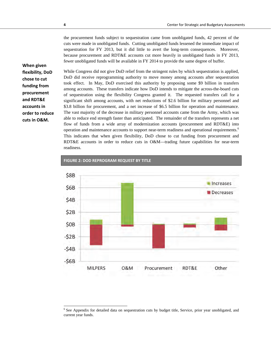the procurement funds subject to sequestration came from unobligated funds, 42 percent of the cuts were made in unobligated funds. Cutting unobligated funds lessened the immediate impact of sequestration for FY 2013, but it did little to avert the long-term consequences. Moreover, because procurement and RDT&E accounts cut more heavily in unobligated funds in FY 2013, fewer unobligated funds will be available in FY 2014 to provide the same degree of buffer.

**When given flexibility, DoD chose to cut funding from procurement and RDT&E accounts in order to reduce cuts in O&M.**

While Congress did not give DoD relief from the stringent rules by which sequestration is applied, DoD did receive reprogramming authority to move money among accounts after sequestration took effect. In May, DoD exercised this authority by proposing some \$9 billion in transfers among accounts. These transfers indicate how DoD intends to mitigate the across-the-board cuts of sequestration using the flexibility Congress granted it. The requested transfers call for a significant shift among accounts, with net reductions of \$2.6 billion for military personnel and \$3.8 billion for procurement, and a net increase of \$6.5 billion for operation and maintenance. The vast majority of the decrease in military personnel accounts came from the Army, which was able to reduce end strength faster than anticipated. The remainder of the transfers represents a net flow of funds from a wide array of modernization accounts (procurement and RDT&E) into operation and maintenance accounts to support near-term readiness and operational requirements.<sup>6</sup> This indicates that when given flexibility, DoD chose to cut funding from procurement and RDT&E accounts in order to reduce cuts in O&M—trading future capabilities for near-term readiness.



**FIGURE 2: DOD REPROGRAM REQUEST BY TITLE**

<sup>&</sup>lt;sup>6</sup> See Appendix for detailed data on sequestration cuts by budget title, Service, prior year unobligated, and current year funds.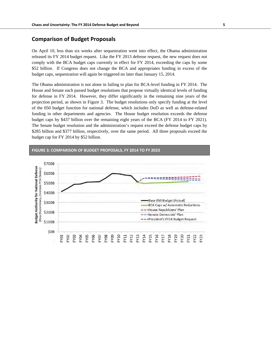#### **Comparison of Budget Proposals**

On April 10, less than six weeks after sequestration went into effect, the Obama administration released its FY 2014 budget request. Like the FY 2013 defense request, the new request does not comply with the BCA budget caps currently in effect for FY 2014, exceeding the caps by some \$52 billion. If Congress does not change the BCA and appropriates funding in excess of the budget caps, sequestration will again be triggered no later than January 15, 2014.

The Obama administration is not alone in failing to plan for BCA-level funding in FY 2014. The House and Senate each passed budget resolutions that propose virtually identical levels of funding for defense in FY 2014. However, they differ significantly in the remaining nine years of the projection period, as shown in Figure 3. The budget resolutions only specify funding at the level of the 050 budget function for national defense, which includes DoD as well as defense-related funding in other departments and agencies. The House budget resolution exceeds the defense budget caps by \$437 billion over the remaining eight years of the BCA (FY 2014 to FY 2021). The Senate budget resolution and the administration's request exceed the defense budget caps by \$285 billion and \$377 billion, respectively, over the same period. All three proposals exceed the budget cap for FY 2014 by \$52 billion.

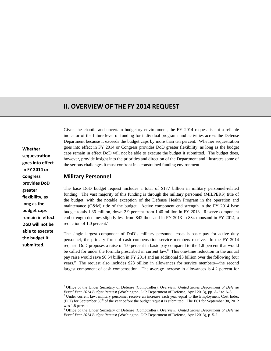# **II. OVERVIEW OF THE FY 2014 REQUEST**

**Whether sequestration goes into effect in FY 2014 or Congress provides DoD greater flexibility, as long as the budget caps remain in effect DoD will not be able to execute the budget it submitted.**

-

Given the chaotic and uncertain budgetary environment, the FY 2014 request is not a reliable indicator of the future level of funding for individual programs and activities across the Defense Department because it exceeds the budget caps by more than ten percent. Whether sequestration goes into effect in FY 2014 or Congress provides DoD greater flexibility, as long as the budget caps remain in effect DoD will not be able to execute the budget it submitted. The budget does, however, provide insight into the priorities and direction of the Department and illustrates some of the serious challenges it must confront in a constrained funding environment.

#### **Military Personnel**

The base DoD budget request includes a total of \$177 billion in military personnel-related funding. The vast majority of this funding is through the military personnel (MILPERS) title of the budget, with the notable exception of the Defense Health Program in the operation and maintenance (O&M) title of the budget. Active component end strength in the FY 2014 base budget totals 1.36 million, down 2.9 percent from 1.40 million in FY 2013. Reserve component end strength declines slightly less from 842 thousand in FY 2013 to 834 thousand in FY 2014, a reduction of 1.0 percent.<sup>7</sup>

The single largest component of DoD's military personnel costs is basic pay for active duty personnel, the primary form of cash compensation service members receive. In the FY 2014 request, DoD proposes a raise of 1.0 percent in basic pay compared to the 1.8 percent that would be called for under the formula prescribed in current law.<sup>8</sup> This one-time reduction in the annual pay raise would save \$0.54 billion in FY 2014 and an additional \$3 billion over the following four years.<sup>9</sup> The request also includes \$28 billion in allowances for service members—the second largest component of cash compensation. The average increase in allowances is 4.2 percent for

<sup>7</sup> Office of the Under Secretary of Defense (Comptroller), *Overview: United States Department of Defense Fiscal Year 2014 Budget Request* (Washington, DC: Department of Defense, April 2013), pp. A-2 to A-3. 8

Under current law, military personnel receive an increase each year equal to the Employment Cost Index (ECI) for September  $30<sup>th</sup>$  of the year before the budget request is submitted. The ECI for September 30, 2012 was 1.8 percent.

<sup>&</sup>lt;sup>9</sup> Office of the Under Secretary of Defense (Comptroller), Overview: United States Department of Defense *Fiscal Year 2014 Budget Request* (Washington, DC: Department of Defense, April 2013), p. 5-2.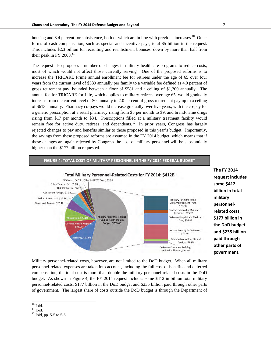their peak in FY 2008. $^{11}$ 

housing and 3.4 percent for subsistence, both of which are in line with previous increases.<sup>10</sup> Other forms of cash compensation, such as special and incentive pays, total \$5 billion in the request. This includes \$2.3 billion for recruiting and reenlistment bonuses, down by more than half from

The request also proposes a number of changes in military healthcare programs to reduce costs, most of which would not affect those currently serving. One of the proposed reforms is to increase the TRICARE Prime annual enrollment fee for retirees under the age of 65 over four years from the current level of \$539 annually per family to a variable fee defined as 4.0 percent of gross retirement pay, bounded between a floor of \$581 and a ceiling of \$1,200 annually. The annual fee for TRICARE for Life, which applies to military retirees over age 65, would gradually increase from the current level of \$0 annually to 2.0 percent of gross retirement pay up to a ceiling of \$613 annually. Pharmacy co-pays would increase gradually over five years, with the co-pay for a generic prescription at a retail pharmacy rising from \$5 per month to \$9, and brand-name drugs rising from \$17 per month to \$34. Prescriptions filled at a military treatment facility would remain free for active duty, retirees, and dependents.<sup>12</sup> In prior years, Congress has largely rejected changes to pay and benefits similar to those proposed in this year's budget. Importantly, the savings from these proposed reforms are assumed in the FY 2014 budget, which means that if these changes are again rejected by Congress the cost of military personnel will be substantially higher than the \$177 billion requested.

**FIGURE 4: TOTAL COST OF MILITARY PERSONNEL IN THE FY 2014 FEDERAL BUDGET**



**The FY 2014 request includes some \$412 billion in total military personnel‐ related costs, \$177 billion in the DoD budget and \$235 billion paid through other parts of government.**

Military personnel-related costs, however, are not limited to the DoD budget. When all military personnel-related expenses are taken into account, including the full cost of benefits and deferred compensation, the total cost is more than double the military personnel-related costs in the DoD budget. As shown in Figure 4, the FY 2014 request includes some \$412 in billion total military personnel-related costs, \$177 billion in the DoD budget and \$235 billion paid through other parts of government. The largest share of costs outside the DoD budget is through the Department of

 $10$  Ibid.

 $^{\rm 11}$  Ibid.

 $12$  Ibid, pp. 5-5 to 5-6.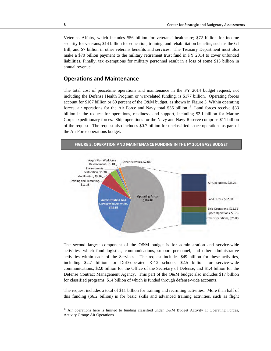Veterans Affairs, which includes \$56 billion for veterans' healthcare; \$72 billion for income security for veterans; \$14 billion for education, training, and rehabilitation benefits, such as the GI Bill; and \$7 billion in other veterans benefits and services. The Treasury Department must also make a \$70 billion payment to the military retirement trust fund in FY 2014 to cover unfunded liabilities. Finally, tax exemptions for military personnel result in a loss of some \$15 billion in annual revenue.

#### **Operations and Maintenance**

The total cost of peacetime operations and maintenance in the FY 2014 budget request, not including the Defense Health Program or war-related funding, is \$177 billion. Operating forces account for \$107 billion or 60 percent of the O&M budget, as shown in Figure 5. Within operating forces, air operations for the Air Force and Navy total \$36 billion.<sup>13</sup> Land forces receive \$33 billion in the request for operations, readiness, and support, including \$2.1 billion for Marine Corps expeditionary forces. Ship operations for the Navy and Navy Reserve comprise \$11 billion of the request. The request also includes \$0.7 billion for unclassified space operations as part of the Air Force operations budget.



The second largest component of the O&M budget is for administration and service-wide activities, which fund logistics, communications, support personnel, and other administrative activities within each of the Services. The request includes \$49 billion for these activities, including \$2.7 billion for DoD-operated K-12 schools, \$2.5 billion for service-wide communications, \$2.0 billion for the Office of the Secretary of Defense, and \$1.4 billion for the Defense Contract Management Agency. This part of the O&M budget also includes \$17 billion for classified programs, \$14 billion of which is funded through defense-wide accounts.

The request includes a total of \$11 billion for training and recruiting activities. More than half of this funding (\$6.2 billion) is for basic skills and advanced training activities, such as flight

-

 $13$  Air operations here is limited to funding classified under O&M Budget Activity 1: Operating Forces, Activity Group: Air Operations.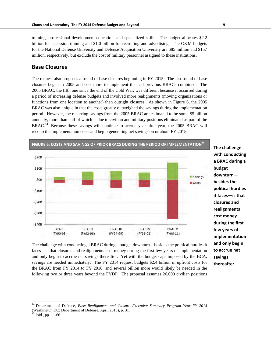training, professional development education, and specialized skills. The budget allocates \$2.2 billion for accession training and \$1.0 billion for recruiting and advertising. The O&M budgets for the National Defense University and Defense Acquisition University are \$85 million and \$157 million, respectively, but exclude the cost of military personnel assigned to these institutions.

#### **Base Closures**

The request also proposes a round of base closures beginning in FY 2015. The last round of base closures began in 2005 and cost more to implement than all previous BRACs combined. The 2005 BRAC, the fifth one since the end of the Cold War, was different because it occurred during a period of increasing defense budgets and involved more realignments (moving organizations or functions from one location to another) than outright closures. As shown in Figure 6, the 2005 BRAC was also unique in that the costs greatly outweighed the savings during the implementation period. However, the recurring savings from the 2005 BRAC are estimated to be some \$5 billion annually, more than half of which is due to civilian and military positions eliminated as part of the BRAC.<sup>14</sup> Because these savings will continue to accrue year after year, the 2005 BRAC will recoup the implementation costs and begin generating net savings on or about FY 2015.



**The challenge with conducting a BRAC during a budget downturn besides the political hurdles it faces—is that closures and realignments cost money during the first few years of implementation and only begin to accrue net savings thereafter.**

The challenge with conducting a BRAC during a budget downturn—besides the political hurdles it faces—is that closures and realignments cost money during the first few years of implementation and only begin to accrue net savings thereafter. Yet with the budget caps imposed by the BCA, savings are needed immediately. The FY 2014 request budgets \$2.4 billion in upfront costs for the BRAC from FY 2014 to FY 2018, and several billion more would likely be needed in the following two or three years beyond the FYDP. The proposal assumes 26,000 civilian positions

<sup>14</sup> Department of Defense, *Base Realignment and Closure Executive Summary Program Year FY 2014* (Washington DC: Department of Defense, April 2013), p. 31. 15 Ibid., pp. 11-66.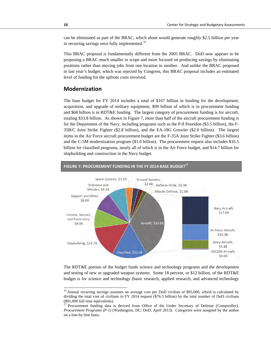can be eliminated as part of the BRAC, which alone would generate roughly \$2.5 billion per year in recurring savings once fully implemented.<sup>16</sup>

This BRAC proposal is fundamentally different from the 2005 BRAC. DoD now appears to be proposing a BRAC much smaller in scope and more focused on producing savings by eliminating positions rather than moving jobs from one location to another. And unlike the BRAC proposed in last year's budget, which was rejected by Congress, this BRAC proposal includes an estimated level of funding for the upfront costs involved.

#### **Modernization**

The base budget for FY 2014 includes a total of \$167 billion in funding for the development, acquisition, and upgrade of military equipment, \$99 billion of which is in procurement funding and \$68 billion is in RDT&E funding. The largest category of procurement funding is for aircraft, totaling \$33.8 billion. As shown in Figure 7, more than half of the aircraft procurement funding is for the Department of the Navy, including programs such as the P-8 Poseidon (\$3.5 billion), the F-35B/C Joint Strike Fighter (\$2.8 billion), and the EA-18G Growler (\$2.0 billion). The largest items in the Air Force aircraft procurement budget are the F-35A Joint Strike Fighter (\$3.6 billion) and the C-5M modernization program (\$1.0 billion). The procurement request also includes \$16.5 billion for classified programs, nearly all of which is in the Air Force budget, and \$14.7 billion for shipbuilding and construction in the Navy budget.



The RDT&E portion of the budget funds science and technology programs and the development and testing of new or upgraded weapon systems. Some 18 percent, or \$12 billion, of the RDT&E budget is for science and technology (basic research, applied research, and advanced technology

l

<sup>&</sup>lt;sup>16</sup> Annual recurring savings assumes an average cost per DoD civilian of \$95,000, which is calculated by dividing the total cost of civilians in FY 2014 request (\$76.3 billion) by the total number of DoD civilians  $(801,000)$  full time equivalents).

<sup>17</sup> Procurement funding data is derived from Office of the Under Secretary of Defense (Comptroller), *Procurement Programs (P-1)* (Washington, DC: DoD, April 2013). Categories were assigned by the author on a line-by-line basis.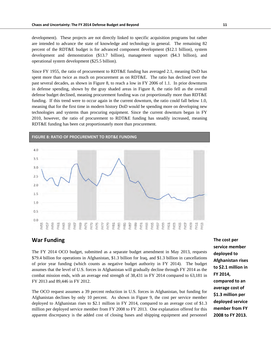development). These projects are not directly linked to specific acquisition programs but rather are intended to advance the state of knowledge and technology in general. The remaining 82 percent of the RDT&E budget is for advanced component development (\$12.1 billion), system development and demonstration (\$13.7 billion), management support (\$4.3 billion), and operational system development (\$25.5 billion).

Since FY 1955, the ratio of procurement to RDT&E funding has averaged 2.1, meaning DoD has spent more than twice as much on procurement as on RDT&E. The ratio has declined over the past several decades, as shown in Figure 8, to reach a low in FY 2006 of 1.1. In prior downturns in defense spending, shown by the gray shaded areas in Figure 8, the ratio fell as the overall defense budget declined, meaning procurement funding was cut proportionally more than RDT&E funding. If this trend were to occur again in the current downturn, the ratio could fall below 1.0, meaning that for the first time in modern history DoD would be spending more on developing new technologies and systems than procuring equipment. Since the current downturn began in FY 2010, however, the ratio of procurement to RDT&E funding has steadily increased, meaning RDT&E funding has been cut proportionately more than procurement.



#### **War Funding**

The FY 2014 OCO budget, submitted as a separate budget amendment in May 2013, requests \$79.4 billion for operations in Afghanistan, \$1.3 billion for Iraq, and \$1.3 billion in cancellations of prior year funding (which counts as negative budget authority in FY 2014). The budget assumes that the level of U.S. forces in Afghanistan will gradually decline through FY 2014 as the combat mission ends, with an average end strength of 38,431 in FY 2014 compared to 63,181 in FY 2013 and 89,446 in FY 2012.

The OCO request assumes a 39 percent reduction in U.S. forces in Afghanistan, but funding for Afghanistan declines by only 10 percent. As shown in Figure 9, the cost per service member deployed to Afghanistan rises to \$2.1 million in FY 2014, compared to an average cost of \$1.3 million per deployed service member from FY 2008 to FY 2013. One explanation offered for this apparent discrepancy is the added cost of closing bases and shipping equipment and personnel **The cost per service member deployed to Afghanistan rises to \$2.1 million in FY 2014, compared to an average cost of \$1.3 million per deployed service member from FY 2008 to FY 2013.**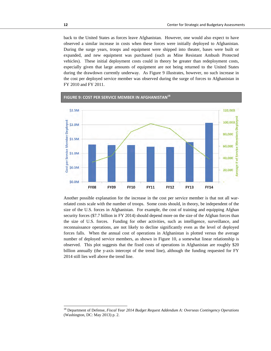back to the United States as forces leave Afghanistan. However, one would also expect to have observed a similar increase in costs when these forces were initially deployed to Afghanistan. During the surge years, troops and equipment were shipped into theater, bases were built or expanded, and new equipment was purchased (such as Mine Resistant Ambush Protected vehicles). These initial deployment costs could in theory be greater than redeployment costs, especially given that large amounts of equipment are not being returned to the United States during the drawdown currently underway. As Figure 9 illustrates, however, no such increase in the cost per deployed service member was observed during the surge of forces to Afghanistan in FY 2010 and FY 2011.



**FIGURE 9: COST PER SERVICE MEMBER IN AFGHANISTAN18**

Another possible explanation for the increase in the cost per service member is that not all warrelated costs scale with the number of troops. Some costs should, in theory, be independent of the size of the U.S. forces in Afghanistan. For example, the cost of training and equipping Afghan security forces (\$7.7 billion in FY 2014) should depend more on the size of the Afghan forces than the size of U.S. forces. Funding for other activities, such as intelligence, surveillance, and reconnaissance operations, are not likely to decline significantly even as the level of deployed forces falls. When the annual cost of operations in Afghanistan is plotted versus the average number of deployed service members, as shown in Figure 10, a somewhat linear relationship is observed. This plot suggests that the fixed costs of operations in Afghanistan are roughly \$20 billion annually (the y-axis intercept of the trend line), although the funding requested for FY 2014 still lies well above the trend line.

<sup>18</sup> Department of Defense, *Fiscal Year 2014 Budget Request Addendum A: Overseas Contingency Operations* (Washington, DC: May 2013) p. 2.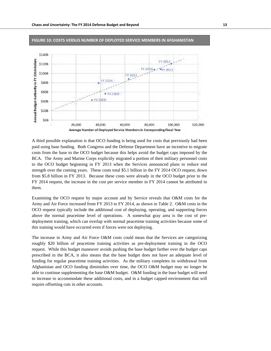

#### **FIGURE 10: COSTS VERSUS NUMBER OF DEPLOYED SERVICE MEMBERS IN AFGHANISTAN**

A third possible explanation is that OCO funding is being used for costs that previously had been paid using base funding. Both Congress and the Defense Department have an incentive to migrate costs from the base to the OCO budget because this helps avoid the budget caps imposed by the BCA. The Army and Marine Corps explicitly migrated a portion of their military personnel costs to the OCO budget beginning in FY 2013 when the Services announced plans to reduce end strength over the coming years. These costs total \$5.1 billion in the FY 2014 OCO request, down from \$5.8 billion in FY 2013. Because these costs were already in the OCO budget prior to the FY 2014 request, the increase in the cost per service member in FY 2014 cannot be attributed to them.

Examining the OCO request by major account and by Service reveals that O&M costs for the Army and Air Force increased from FY 2013 to FY 2014, as shown in Table 2. O&M costs in the OCO request typically include the additional cost of deploying, operating, and supporting forces above the normal peacetime level of operations. A somewhat gray area is the cost of predeployment training, which can overlap with normal peacetime training activities because some of this training would have occurred even if forces were not deploying.

The increase in Army and Air Force O&M costs could mean that the Services are categorizing roughly \$20 billion of peacetime training activities as pre-deployment training in the OCO request. While this budget maneuver avoids pushing the base budget farther over the budget caps prescribed in the BCA, it also means that the base budget does not have an adequate level of funding for regular peacetime training activities. As the military completes its withdrawal from Afghanistan and OCO funding diminishes over time, the OCO O&M budget may no longer be able to continue supplementing the base O&M budget. O&M funding in the base budget will need to increase to accommodate these additional costs, and in a budget capped environment that will require offsetting cuts in other accounts.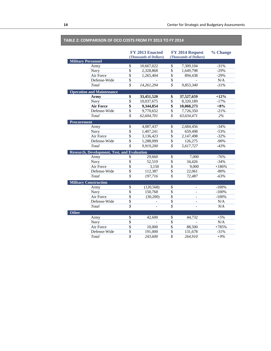#### **TABLE 2: COMPARISON OF OCO COSTS FROM FY 2013 TO FY 2014**

|                    |                                                    |                          | FY 2013 Enacted<br>(Thousands of Dollars) |                          | FY 2014 Request<br>(Thousands of Dollars) | % Change |
|--------------------|----------------------------------------------------|--------------------------|-------------------------------------------|--------------------------|-------------------------------------------|----------|
|                    | <b>Military Personnel</b>                          |                          |                                           |                          |                                           |          |
|                    | Army                                               | \$                       | 10,667,022                                | \$                       | 7,309,104                                 | $-31%$   |
|                    | Navy                                               | $\overline{\$}$          | 2,328,868                                 | $\overline{\$}$          | 1,649,798                                 | $-29%$   |
|                    | Air Force                                          | $\overline{\$}$          | 1,265,404                                 | $\overline{\$}$          | 894,438                                   | $-29%$   |
|                    | Defense-Wide                                       | $\overline{\$}$          |                                           | $\overline{\$}$          |                                           | N/A      |
|                    | Total                                              | $\overline{s}$           | 14,261,294                                | $\overline{s}$           | 9,853,340                                 | $-31%$   |
|                    | <b>Operation and Maintenance</b>                   |                          |                                           |                          |                                           |          |
|                    | Army                                               | \$                       | 33,451,520                                | \$                       | 37,527,659                                | $+12%$   |
|                    | Navy                                               | $\overline{\mathcal{S}}$ | 10,037,675                                | $\overline{\$}$          | 8,320,189                                 | $-17%$   |
|                    | <b>Air Force</b>                                   | \$                       | 9,344,854                                 | $\overline{\$}$          | 10,060,273                                | $+8%$    |
|                    | Defense-Wide                                       | $\overline{\$}$          | 9,770,652                                 | $\overline{\$}$          | 7,726,350                                 | $-21%$   |
|                    | Total                                              | \$                       | 62,604,701                                | \$                       | 63,634,471                                | 2%       |
| <b>Procurement</b> |                                                    |                          |                                           |                          |                                           |          |
|                    | Army                                               | \$                       | 4,087,437                                 | \$                       | 2,684,456                                 | $-34%$   |
|                    | Navy                                               | $\overline{\$}$          | 1,407,241                                 | $\overline{\$}$          | 659,498                                   | $-53%$   |
|                    | Air Force                                          | $\overline{\$}$          | 3,136,423                                 | $\overline{\mathcal{S}}$ | 2,147,498                                 | $-32%$   |
|                    | Defense-Wide                                       | $\overline{\$}$          | 1,288,099                                 | \$                       | 126,275                                   | $-90%$   |
|                    | Total                                              | \$                       | 9,919,200                                 | \$                       | 5,617,727                                 | $-43%$   |
|                    | <b>Research, Development, Test, and Evaluation</b> |                          |                                           |                          |                                           |          |
|                    | Army                                               | \$                       | 29,660                                    | \$                       | 7,000                                     | $-76%$   |
|                    | Navy                                               | \$                       | 52,519                                    | \$                       | 34,426                                    | $-34%$   |
|                    | Air Force                                          | \$                       | 3,150                                     | \$                       | 9,000                                     | $+186%$  |
|                    | Defense-Wide                                       | \$                       | 112.387                                   | \$                       | 22,061                                    | $-80%$   |
|                    | Total                                              | $\overline{\mathcal{S}}$ | 197,716                                   | $\mathcal S$             | 72,487                                    | $-63%$   |
|                    | <b>Military Construction</b>                       |                          |                                           |                          |                                           |          |
|                    | Army                                               | \$                       | (120, 568)                                | \$                       |                                           | $-100%$  |
|                    | Navy                                               | $\overline{\$}$          | 150,768                                   | $\overline{\$}$          | $\overline{\phantom{a}}$                  | $-100%$  |
|                    | Air Force                                          | $\overline{\$}$          | (30, 200)                                 | $\overline{\$}$          | $\overline{a}$                            | $-100%$  |
|                    | Defense-Wide                                       | $\overline{\$}$          |                                           | \$                       | $\qquad \qquad -$                         | N/A      |
|                    | Total                                              | $\overline{s}$           |                                           | $\overline{\mathcal{S}}$ | $\overline{a}$                            | N/A      |
| <b>Other</b>       |                                                    |                          |                                           |                          |                                           |          |
|                    | Army                                               | \$                       | 42,600                                    | $\overline{\$}$          | 44,732                                    | $+5%$    |
|                    | Navy                                               | \$                       |                                           | $\overline{\$}$          |                                           | N/A      |
|                    | Air Force                                          | \$                       | 10,000                                    | $\overline{\$}$          | 88,500                                    | $+785%$  |
|                    | Defense-Wide                                       | $\overline{\$}$          | 191,000                                   | $\overline{\$}$          | 131,678                                   | $-31%$   |
|                    | Total                                              | $\overline{s}$           | 243,600                                   | $\overline{\mathcal{S}}$ | 264,910                                   | $+9%$    |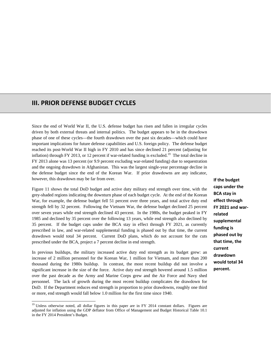## **III. PRIOR DEFENSE BUDGET CYCLES**

Since the end of World War II, the U.S. defense budget has risen and fallen in irregular cycles driven by both external threats and internal politics. The budget appears to be in the drawdown phase of one of these cycles—the fourth drawdown over the past six decades—which could have important implications for future defense capabilities and U.S. foreign policy. The defense budget reached its post-World War II high in FY 2010 and has since declined 21 percent (adjusting for inflation) through FY 2013, or 12 percent if war-related funding is excluded.<sup>19</sup> The total decline in FY 2013 alone was 13 percent (or 9.9 percent excluding war-related funding) due to sequestration and the ongoing drawdown in Afghanistan. This was the largest single-year percentage decline in the defense budget since the end of the Korean War. If prior drawdowns are any indicator, however, this drawdown may be far from over.

Figure 11 shows the total DoD budget and active duty military end strength over time, with the grey-shaded regions indicating the downturn phase of each budget cycle. At the end of the Korean War, for example, the defense budget fell 51 percent over three years, and total active duty end strength fell by 32 percent. Following the Vietnam War, the defense budget declined 25 percent over seven years while end strength declined 43 percent. In the 1980s, the budget peaked in FY 1985 and declined by 35 percent over the following 13 years, while end strength also declined by 35 percent. If the budget caps under the BCA stay in effect through FY 2021, as currently prescribed in law, and war-related supplemental funding is phased out by that time, the current drawdown would total 34 percent. Current DoD plans, which do not account for the cuts prescribed under the BCA, project a 7 percent decline in end strength.

In previous buildups, the military increased active duty end strength as its budget grew: an increase of 2 million personnel for the Korean War, 1 million for Vietnam, and more than 200 thousand during the 1980s buildup. In contrast, the most recent buildup did not involve a significant increase in the size of the force. Active duty end strength hovered around 1.5 million over the past decade as the Army and Marine Corps grew and the Air Force and Navy shed personnel. The lack of growth during the most recent buildup complicates the drawdown for DoD. If the Department reduces end strength in proportion to prior drawdowns, roughly one third or more, end strength would fall below 1.0 million for the first time since 1940.

 $\overline{a}$ 

**If the budget caps under the BCA stay in effect through FY 2021 and war‐ related supplemental funding is phased out by that time, the current drawdown would total 34 percent.**

<sup>&</sup>lt;sup>19</sup> Unless otherwise noted, all dollar figures in this paper are in FY 2014 constant dollars. Figures are adjusted for inflation using the GDP deflator from Office of Management and Budget Historical Table 10.1 in the FY 2014 President's Budget.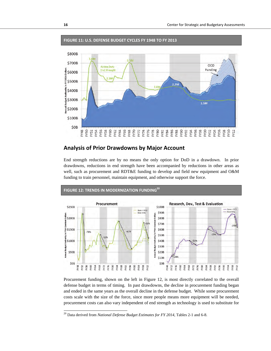

#### **FIGURE 11: U.S. DEFENSE BUDGET CYCLES FY 1948 TO FY 2013**

#### **Analysis of Prior Drawdowns by Major Account**

End strength reductions are by no means the only option for DoD in a drawdown. In prior drawdowns, reductions in end strength have been accompanied by reductions in other areas as well, such as procurement and RDT&E funding to develop and field new equipment and O&M funding to train personnel, maintain equipment, and otherwise support the force.



Procurement funding, shown on the left in Figure 12, is most directly correlated to the overall defense budget in terms of timing. In past drawdowns, the decline in procurement funding began and ended in the same years as the overall decline in the defense budget. While some procurement costs scale with the size of the force, since more people means more equipment will be needed, procurement costs can also vary independent of end strength as technology is used to substitute for

<sup>&</sup>lt;sup>20</sup> Data derived from *National Defense Budget Estimates for FY 2014*, Tables 2-1 and 6-8.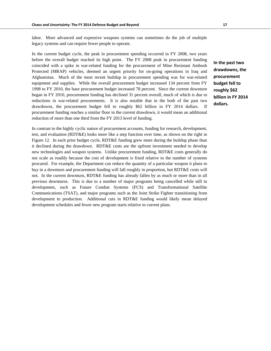labor. More advanced and expensive weapons systems can sometimes do the job of multiple legacy systems and can require fewer people to operate.

In the current budget cycle, the peak in procurement spending occurred in FY 2008, two years before the overall budget reached its high point. The FY 2008 peak in procurement funding coincided with a spike in war-related funding for the procurement of Mine Resistant Ambush Protected (MRAP) vehicles, deemed an urgent priority for on-going operations in Iraq and Afghanistan. Much of the most recent buildup in procurement spending was for war-related equipment and supplies. While the overall procurement budget increased 134 percent from FY 1998 to FY 2010, the base procurement budget increased 78 percent. Since the current downturn began in FY 2010, procurement funding has declined 31 percent overall, much of which is due to reductions in war-related procurements. It is also notable that in the both of the past two drawdowns, the procurement budget fell to roughly \$62 billion in FY 2014 dollars. If procurement funding reaches a similar floor in the current drawdown, it would mean an additional reduction of more than one third from the FY 2013 level of funding.

**In the past two drawdowns, the procurement budget fell to roughly \$62 billion in FY 2014 dollars.**

In contrast to the highly cyclic nature of procurement accounts, funding for research, development, test, and evaluation (RDT&E) looks more like a step function over time, as shown on the right in Figure 12. In each prior budget cycle, RDT&E funding grew more during the buildup phase than it declined during the drawdown. RDT&E costs are the upfront investment needed to develop new technologies and weapon systems. Unlike procurement funding, RDT&E costs generally do not scale as readily because the cost of development is fixed relative to the number of systems procured. For example, the Department can reduce the quantity of a particular weapon it plans to buy in a downturn and procurement funding will fall roughly in proportion, but RDT&E costs will not. In the current downturn, RDT&E funding has already fallen by as much or more than in all previous downturns. This is due to a number of major programs being cancelled while still in development, such as Future Combat Systems (FCS) and Transformational Satellite Communications (TSAT), and major programs such as the Joint Strike Fighter transitioning from development to production. Additional cuts in RDT&E funding would likely mean delayed development schedules and fewer new program starts relative to current plans.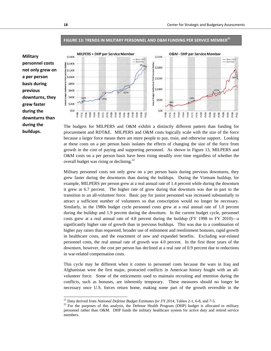**O&M - DHP per Service Member** 



#### **FIGURE 13: TRENDS IN MILITARY PERSONNEL AND O&M FUNDING PER SERVICE MEMBER21**

Base + OCO

**\$250K** 



The budgets for MILPERS and O&M exhibit a distinctly different pattern than funding for procurement and RDT&E. MILPERS and O&M costs logically scale with the size of the force because a larger force means there are more people to pay, train, and otherwise support. Looking at these costs on a per person basis isolates the effects of changing the size of the force from growth in the cost of paying and supporting personnel. As shown in Figure 13, MILPERS and O&M costs on a per person basis have been rising steadily over time regardless of whether the overall budget was rising or declining.<sup>22</sup>

Military personnel costs not only grew on a per person basis during previous downturns, they grew faster during the downturns than during the buildups. During the Vietnam buildup, for example, MILPERS per person grew at a real annual rate of 1.4 percent while during the downturn it grew at 6.7 percent. The higher rate of grow during that downturn was due in part to the transition to an all-volunteer force. Basic pay for junior personnel was increased substantially to attract a sufficient number of volunteers so that conscription would no longer be necessary. Similarly, in the 1980s budget cycle personnel costs grew at a real annual rate of 1.0 percent during the buildup and 1.9 percent during the downturn. In the current budget cycle, personnel costs grew at a real annual rate of 4.8 percent during the buildup (FY 1998 to FY 2010)—a significantly higher rate of growth than in previous buildups. This was due to a combination of higher pay raises than requested, broader use of enlistment and reenlistment bonuses, rapid growth in healthcare costs, and the enactment of new and expanded benefits. Excluding war-related personnel costs, the real annual rate of growth was 4.0 percent. In the first three years of the downturn, however, the cost per person has declined at a real rate of 0.9 percent due to reductions in war-related compensation costs.

This cycle may be different when it comes to personnel costs because the wars in Iraq and Afghanistan were the first major, protracted conflicts in American history fought with an allvolunteer force. Some of the enticements used to maintain recruiting and retention during the conflicts, such as bonuses, are inherently temporary. These measures should no longer be necessary once U.S. forces return home, making some part of the growth reversible in the

 $^{21}$  Data derived from National Defense Budget Estimates for FY 2014, Tables 2-1, 6-8, and 7-5.

<sup>&</sup>lt;sup>22</sup> For the purposes of this analysis, the Defense Health Program (DHP) budget is allocated to military personnel rather than O&M. DHP funds the military healthcare system for active duty and retired service members.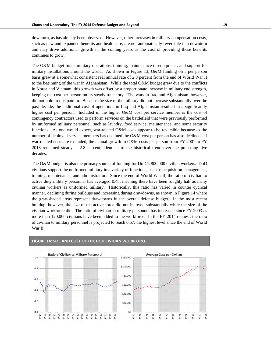downturn, as has already been observed. However, other increases in military compensation costs, such as new and expanded benefits and healthcare, are not automatically reversible in a downturn and may drive additional growth in the coming years as the cost of providing these benefits continues to grow.

The O&M budget funds military operations, training, maintenance of equipment, and support for military installations around the world. As shown in Figure 13, O&M funding on a per person basis grew at a somewhat consistent real annual rate of 2.8 percent from the end of World War II to the beginning of the war in Afghanistan. While the total O&M budget grew due to the conflicts in Korea and Vietnam, this growth was offset by a proportionate increase in military end strength, keeping the cost per person on its steady trajectory. The wars in Iraq and Afghanistan, however, did not hold to this pattern. Because the size of the military did not increase substantially over the past decade, the additional cost of operations in Iraq and Afghanistan resulted in a significantly higher cost per person. Included in the higher O&M cost per service member is the cost of contingency contractors used to perform services on the battlefield that were previously performed by uniformed military personnel, such as laundry, food service, maintenance, and some security functions. As one would expect, war-related O&M costs appear to be reversible because as the number of deployed service members has declined the O&M cost per person has also declined. If war-related costs are excluded, the annual growth in O&M costs per person from FY 2001 to FY 2013 remained steady at 2.8 percent, identical to the historical trend over the preceding five decades.

The O&M budget is also the primary source of funding for DoD's 800,000 civilian workers. DoD civilians support the uniformed military in a variety of functions, such as acquisition management, training, maintenance, and administration. Since the end of World War II, the ratio of civilian to active duty military personnel has averaged 0.48, meaning there have been roughly half as many civilian workers as uniformed military. Historically, this ratio has varied in counter cyclical manner, declining during buildups and increasing during drawdowns, as shown in Figure 14 where the gray-shaded areas represent drawdowns in the overall defense budget. In the most recent buildup, however, the size of the active force did not increase substantially while the size of the civilian workforce did. The ratio of civilian to military personnel has increased since FY 2003 as more than 120,000 civilians have been added to the workforce. In the FY 2014 request, the ratio of civilian to military personnel is projected to reach 0.57, the highest level since the end of World War II.



**FIGURE 14: SIZE AND COST OF THE DOD CIVILIAN WORKFORCE**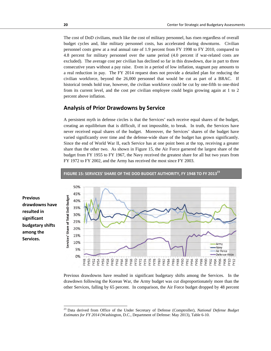The cost of DoD civilians, much like the cost of military personnel, has risen regardless of overall budget cycles and, like military personnel costs, has accelerated during downturns. Civilian personnel costs grew at a real annual rate of 1.9 percent from FY 1998 to FY 2010, compared to 4.8 percent for military personnel over the same period (4.0 percent if war-related costs are excluded). The average cost per civilian has declined so far in this drawdown, due in part to three consecutive years without a pay raise. Even in a period of low inflation, stagnant pay amounts to a real reduction in pay. The FY 2014 request does not provide a detailed plan for reducing the civilian workforce, beyond the 26,000 personnel that would be cut as part of a BRAC. If historical trends hold true, however, the civilian workforce could be cut by one-fifth to one-third from its current level, and the cost per civilian employee could begin growing again at 1 to 2 percent above inflation.

#### **Analysis of Prior Drawdowns by Service**

A persistent myth in defense circles is that the Services' each receive equal shares of the budget, creating an equilibrium that is difficult, if not impossible, to break. In truth, the Services have never received equal shares of the budget. Moreover, the Services' shares of the budget have varied significantly over time and the defense-wide share of the budget has grown significantly. Since the end of World War II, each Service has at one point been at the top, receiving a greater share than the other two. As shown in Figure 15, the Air Force garnered the largest share of the budget from FY 1955 to FY 1967, the Navy received the greatest share for all but two years from FY 1972 to FY 2002, and the Army has received the most since FY 2003.



**Previous drawdowns have resulted in significant budgetary shifts among the Services.**

 $\overline{a}$ 

Previous drawdowns have resulted in significant budgetary shifts among the Services. In the drawdown following the Korean War, the Army budget was cut disproportionately more than the other Services, falling by 65 percent. In comparison, the Air Force budget dropped by 48 percent

<sup>23</sup> Data derived from Office of the Under Secretary of Defense (Comptroller), *National Defense Budget Estimates for FY 2014* (Washington, D.C., Department of Defense: May 2013), Table 6-10.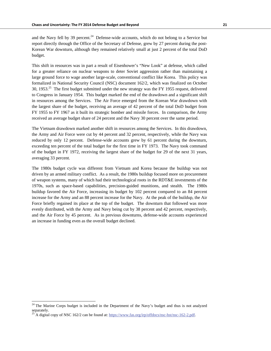and the Navy fell by 39 percent.<sup>24</sup> Defense-wide accounts, which do not belong to a Service but report directly through the Office of the Secretary of Defense, grew by 27 percent during the post-Korean War downturn, although they remained relatively small at just 2 percent of the total DoD budget.

This shift in resources was in part a result of Eisenhower's "New Look" at defense, which called for a greater reliance on nuclear weapons to deter Soviet aggression rather than maintaining a large ground force to wage another large-scale, conventional conflict like Korea. This policy was formalized in National Security Council (NSC) document 162/2, which was finalized on October 30, 1953.<sup>25</sup> The first budget submitted under the new strategy was the FY 1955 request, delivered to Congress in January 1954. This budget marked the end of the drawdown and a significant shift in resources among the Services. The Air Force emerged from the Korean War drawdown with the largest share of the budget, receiving an average of 42 percent of the total DoD budget from FY 1955 to FY 1967 as it built its strategic bomber and missile forces. In comparison, the Army received an average budget share of 24 percent and the Navy 30 percent over the same period.

The Vietnam drawdown marked another shift in resources among the Services. In this drawdown, the Army and Air Force were cut by 44 percent and 32 percent, respectively, while the Navy was reduced by only 12 percent. Defense-wide accounts grew by 61 percent during the downturn, exceeding ten percent of the total budget for the first time in FY 1973. The Navy took command of the budget in FY 1972, receiving the largest share of the budget for 29 of the next 31 years, averaging 33 percent.

The 1980s budget cycle was different from Vietnam and Korea because the buildup was not driven by an armed military conflict. As a result, the 1980s buildup focused more on procurement of weapon systems, many of which had their technological roots in the RDT&E investments of the 1970s, such as space-based capabilities, precision-guided munitions, and stealth. The 1980s buildup favored the Air Force, increasing its budget by 102 percent compared to an 84 percent increase for the Army and an 88 percent increase for the Navy. At the peak of the buildup, the Air Force briefly regained its place at the top of the budget. The downturn that followed was more evenly distributed, with the Army and Navy being cut by 38 percent and 42 percent, respectively, and the Air Force by 45 percent. As in previous downturns, defense-wide accounts experienced an increase in funding even as the overall budget declined.

-

 $24$  The Marine Corps budget is included in the Department of the Navy's budget and thus is not analyzed separately.

<sup>25</sup> A digital copy of NSC 162/2 can be found at: https://www.fas.org/irp/offdocs/nsc-hst/nsc-162-2.pdf.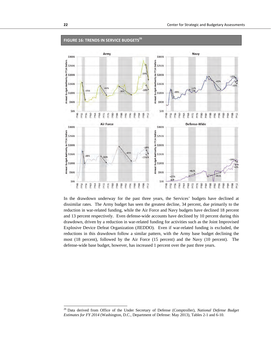

#### **FIGURE 16: TRENDS IN SERVICE BUDGETS26**

In the drawdown underway for the past three years, the Services' budgets have declined at dissimilar rates. The Army budget has seen the greatest decline, 34 percent, due primarily to the reduction in war-related funding, while the Air Force and Navy budgets have declined 18 percent and 13 percent respectively. Even defense-wide accounts have declined by 10 percent during this drawdown, driven by a reduction in war-related funding for activities such as the Joint Improvised Explosive Device Defeat Organization (JIEDDO). Even if war-related funding is excluded, the reductions in this drawdown follow a similar pattern, with the Army base budget declining the most (18 percent), followed by the Air Force (15 percent) and the Navy (10 percent). The defense-wide base budget, however, has increased 1 percent over the past three years.

<sup>26</sup> Data derived from Office of the Under Secretary of Defense (Comptroller), *National Defense Budget Estimates for FY 2014* (Washington, D.C., Department of Defense: May 2013), Tables 2-1 and 6-10.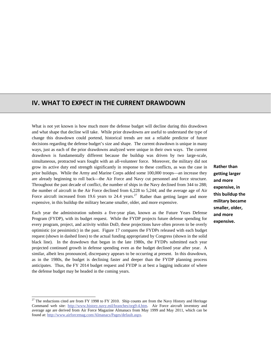## **IV. WHAT TO EXPECT IN THE CURRENT DRAWDOWN**

What is not yet known is how much more the defense budget will decline during this drawdown and what shape that decline will take. While prior drawdowns are useful to understand the type of change this drawdown could portend, historical trends are not a reliable predictor of future decisions regarding the defense budget's size and shape. The current drawdown is unique in many ways, just as each of the prior drawdowns analyzed were unique in their own ways. The current drawdown is fundamentally different because the buildup was driven by two large-scale, simultaneous, protracted wars fought with an all-volunteer force. Moreover, the military did not grow its active duty end strength significantly in response to these conflicts, as was the case in prior buildups. While the Army and Marine Corps added some 100,000 troops—an increase they are already beginning to roll back—the Air Force and Navy cut personnel and force structure. Throughout the past decade of conflict, the number of ships in the Navy declined from 344 to 288; the number of aircraft in the Air Force declined from 6,228 to 5,244; and the average age of Air Force aircraft increased from 19.6 years to 24.4 years.<sup>27</sup> Rather than getting larger and more expensive, in this buildup the military became smaller, older, and more expensive.

Each year the administration submits a five-year plan, known as the Future Years Defense Program (FYDP), with its budget request. While the FYDP projects future defense spending for every program, project, and activity within DoD, these projections have often proven to be overly optimistic (or pessimistic) in the past. Figure 17 compares the FYDPs released with each budget request (shown in dashed lines) to the actual funding appropriated by Congress (shown in the solid black line). In the drawdown that began in the late 1980s, the FYDPs submitted each year projected continued growth in defense spending even as the budget declined year after year. A similar, albeit less pronounced, discrepancy appears to be occurring at present. In this drawdown, as in the 1980s, the budget is declining faster and deeper than the FYDP planning process anticipates. Thus, the FY 2014 budget request and FYDP is at best a lagging indicator of where the defense budget may be headed in the coming years.

 $\overline{a}$ 

**Rather than getting larger and more expensive, in this buildup the military became smaller, older, and more expensive.**

<sup>&</sup>lt;sup>27</sup> The reductions cited are from FY 1998 to FY 2010. Ship counts are from the Navy History and Heritage Command web site: http://www.history.navy.mil/branches/org9-4.htm. Air Force aircraft inventory and average age are derived from Air Force Magazine Almanacs from May 1999 and May 2011, which can be found at: http://www.airforcemag.com/Almanacs/Pages/default.aspx.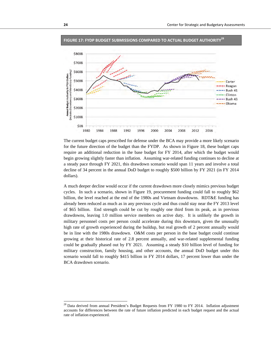

**FIGURE 17: FYDP BUDGET SUBMISSIONS COMPARED TO ACTUAL BUDGET AUTHORITY28**

The current budget caps prescribed for defense under the BCA may provide a more likely scenario for the future direction of the budget than the FYDP. As shown in Figure 18, these budget caps require an additional reduction in the base budget for FY 2014, after which the budget would begin growing slightly faster than inflation. Assuming war-related funding continues to decline at a steady pace through FY 2021, this drawdown scenario would span 11 years and involve a total decline of 34 percent in the annual DoD budget to roughly \$500 billion by FY 2021 (in FY 2014 dollars).

A much deeper decline would occur if the current drawdown more closely mimics previous budget cycles. In such a scenario, shown in Figure 19, procurement funding could fall to roughly \$62 billion, the level reached at the end of the 1980s and Vietnam drawdowns. RDT&E funding has already been reduced as much as in any previous cycle and thus could stay near the FY 2013 level of \$65 billion. End strength could be cut by roughly one third from its peak, as in previous drawdowns, leaving 1.0 million service members on active duty. It is unlikely the growth in military personnel costs per person could accelerate during this downturn, given the unusually high rate of growth experienced during the buildup, but real growth of 2 percent annually would be in line with the 1980s drawdown. O&M costs per person in the base budget could continue growing at their historical rate of 2.8 percent annually, and war-related supplemental funding could be gradually phased out by FY 2021. Assuming a steady \$10 billion level of funding for military construction, family housing, and other accounts, the annual DoD budget under this scenario would fall to roughly \$415 billion in FY 2014 dollars, 17 percent lower than under the BCA drawdown scenario.

<sup>&</sup>lt;sup>28</sup> Data derived from annual President's Budget Requests from FY 1980 to FY 2014. Inflation adjustment accounts for differences between the rate of future inflation predicted in each budget request and the actual rate of inflation experienced.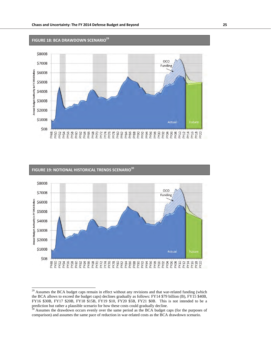

## **FIGURE 19: NOTIONAL HISTORICAL TRENDS SCENARIO30** \$800B oco \$700B Funding nnual Budget Authority in FY 2014 Dollars \$600B \$500B \$400B \$300B \$200B \$100B Actual  $$OB$

 $^{29}$  Assumes the BCA budget caps remain in effect without any revisions and that war-related funding (which the BCA allows to exceed the budget caps) declines gradually as follows: FY14 \$79 billion (B), FY15 \$40B, FY16 \$30B, FY17 \$20B, FY18 \$15B, FY19 \$10, FY20 \$5B, FY21 \$0B. This is not intended to be a prediction but rather a plausible scenario for how these costs could gradually decline.

<sup>&</sup>lt;sup>30</sup> Assumes the drawdown occurs evenly over the same period as the BCA budget caps (for the purposes of comparison) and assumes the same pace of reduction in war-related costs as the BCA drawdown scenario.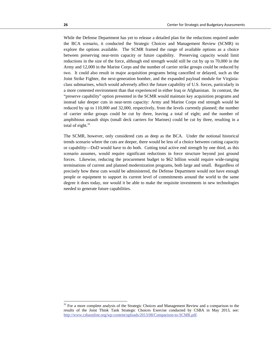While the Defense Department has yet to release a detailed plan for the reductions required under the BCA scenario, it conducted the Strategic Choices and Management Review (SCMR) to explore the options available. The SCMR framed the range of available options as a choice between preserving near-term capacity or future capability. Preserving capacity would limit reductions in the size of the force, although end strength would still be cut by up to 70,000 in the Army and 12,000 in the Marine Corps and the number of carrier strike groups could be reduced by two. It could also result in major acquisition programs being cancelled or delayed, such as the Joint Strike Fighter, the next-generation bomber, and the expanded payload module for Virginiaclass submarines, which would adversely affect the future capability of U.S. forces, particularly in a more contested environment than that experienced in either Iraq or Afghanistan. In contrast, the "preserve capability" option presented in the SCMR would maintain key acquisition programs and instead take deeper cuts in near-term capacity: Army and Marine Corps end strength would be reduced by up to 110,000 and 32,000, respectively, from the levels currently planned; the number of carrier strike groups could be cut by three, leaving a total of eight; and the number of amphibious assault ships (small deck carriers for Marines) could be cut by three, resulting in a total of eight. $31$ 

The SCMR, however, only considered cuts as deep as the BCA. Under the notional historical trends scenario where the cuts are deeper, there would be less of a choice between cutting capacity or capability—DoD would have to do both. Cutting total active end strength by one third, as this scenario assumes, would require significant reductions in force structure beyond just ground forces. Likewise, reducing the procurement budget to \$62 billion would require wide-ranging terminations of current and planned modernization programs, both large and small. Regardless of precisely how these cuts would be administered, the Defense Department would not have enough people or equipment to support its current level of commitments around the world to the same degree it does today, nor would it be able to make the requisite investments in new technologies needed to generate future capabilities.

<sup>&</sup>lt;sup>31</sup> For a more complete analysis of the Strategic Choices and Management Review and a comparison to the results of the Joint Think Tank Strategic Choices Exercise conducted by CSBA in May 2013, see: http://www.csbaonline.org/wp-content/uploads/2013/08/Comparison-to-SCMR.pdf.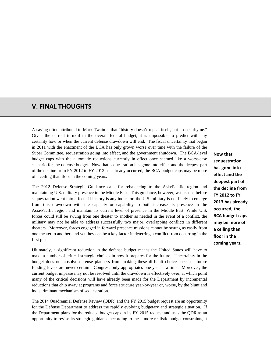## **V. FINAL THOUGHTS**

A saying often attributed to Mark Twain is that "history doesn't repeat itself, but it does rhyme." Given the current turmoil in the overall federal budget, it is impossible to predict with any certainty how or when the current defense drawdown will end. The fiscal uncertainty that began in 2011 with the enactment of the BCA has only grown worse over time with the failure of the Super Committee, sequestration going into effect, and the government shutdown. The BCA-level budget caps with the automatic reductions currently in effect once seemed like a worst-case scenario for the defense budget. Now that sequestration has gone into effect and the deepest part of the decline from FY 2012 to FY 2013 has already occurred, the BCA budget caps may be more of a ceiling than floor in the coming years.

The 2012 Defense Strategic Guidance calls for rebalancing to the Asia/Pacific region and maintaining U.S. military presence in the Middle East. This guidance, however, was issued before sequestration went into effect. If history is any indicator, the U.S. military is not likely to emerge from this drawdown with the capacity or capability to both increase its presence in the Asia/Pacific region and maintain its current level of presence in the Middle East. While U.S. forces could still be swung from one theater to another as needed in the event of a conflict, the military may not be able to address successfully two major, overlapping conflicts in different theaters. Moreover, forces engaged in forward presence missions cannot be swung as easily from one theater to another, and yet they can be a key factor in deterring a conflict from occurring in the first place.

Ultimately, a significant reduction in the defense budget means the United States will have to make a number of critical strategic choices in how it prepares for the future. Uncertainty in the budget does not absolve defense planners from making these difficult choices because future funding levels are never certain—Congress only appropriates one year at a time. Moreover, the current budget impasse may not be resolved until the drawdown is effectively over, at which point many of the critical decisions will have already been made for the Department by incremental reductions that chip away at programs and force structure year-by-year or, worse, by the blunt and indiscriminant mechanism of sequestration.

The 2014 Quadrennial Defense Review (QDR) and the FY 2015 budget request are an opportunity for the Defense Department to address the rapidly evolving budgetary and strategic situation. If the Department plans for the reduced budget caps in its FY 2015 request and uses the QDR as an opportunity to revise its strategic guidance according to these more realistic budget constraints, it **Now that sequestration has gone into effect and the deepest part of the decline from FY 2012 to FY 2013 has already occurred, the BCA budget caps may be more of a ceiling than floor in the coming years.**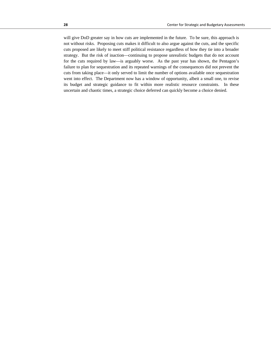will give DoD greater say in how cuts are implemented in the future. To be sure, this approach is not without risks. Proposing cuts makes it difficult to also argue against the cuts, and the specific cuts proposed are likely to meet stiff political resistance regardless of how they tie into a broader strategy. But the risk of inaction—continuing to propose unrealistic budgets that do not account for the cuts required by law—is arguably worse. As the past year has shown, the Pentagon's failure to plan for sequestration and its repeated warnings of the consequences did not prevent the cuts from taking place—it only served to limit the number of options available once sequestration went into effect. The Department now has a window of opportunity, albeit a small one, to revise its budget and strategic guidance to fit within more realistic resource constraints. In these uncertain and chaotic times, a strategic choice deferred can quickly become a choice denied.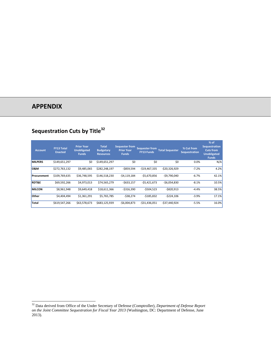# **APPENDIX**

 $\overline{a}$ 

# **Sequestration Cuts by Title<sup>32</sup>**

| <b>Account</b>   | <b>FY13 Total</b><br><b>Enacted</b> | <b>Prior Year</b><br><b>Unobligated</b><br><b>Funds</b> | <b>Total</b><br><b>Budgetary</b><br><b>Resources</b> | <b>Sequester from</b><br><b>Prior Year</b><br><b>Funds</b> | <b>Sequester from</b><br><b>FY13 Funds</b> | <b>Total Sequester</b> | % Cut from<br><b>Sequestration</b> | % of<br>Sequestration,<br><b>Cuts from</b><br><b>Unobligated</b><br><b>Funds</b> |
|------------------|-------------------------------------|---------------------------------------------------------|------------------------------------------------------|------------------------------------------------------------|--------------------------------------------|------------------------|------------------------------------|----------------------------------------------------------------------------------|
| <b>MILPERS</b>   | \$149,651,297                       | \$0                                                     | \$149,651,297                                        | \$0                                                        | \$0                                        | \$0                    | 0.0%                               | N/A                                                                              |
| <b>O&amp;M</b>   | \$272,763,132                       | \$9,485,065                                             | \$282,248,197                                        | $-$ \$859,594                                              | $-$19,467,335$                             | $-520,326,929$         | $-7.2%$                            | 4.2%                                                                             |
| Procurement      | \$109,769,635                       | \$36,748,595                                            | \$146,518,230                                        | $-54,119,184$                                              | $-$5,670,856$                              | $-$9,790,040$          | $-6.7%$                            | 42.1%                                                                            |
| <b>RDT&amp;E</b> | \$69,592,266                        | \$4,973,013                                             | \$74,565,279                                         | $-$633,157$                                                | $-$5,421,673$                              | $-$6,054,830$          | $-8.1%$                            | 10.5%                                                                            |
| <b>MILCON</b>    | \$8,961,948                         | \$9,649,418                                             | \$18,611,366                                         | $-5316,390$                                                | $-$504,523$                                | $-$ \$820,913          | $-4.4%$                            | 38.5%                                                                            |
| <b>Other</b>     | \$4,404,494                         | \$1,361,291                                             | \$5,765,785                                          | $-538,274$                                                 | $-5185,832$                                | $-5224,106$            | $-3.9%$                            | 17.1%                                                                            |
| <b>Total</b>     | \$619,547,266                       | \$63,578,673                                            | \$683,125,939                                        | $-56,004,873$                                              | $-531,436,051$                             | $-537,440,924$         | $-5.5%$                            | 16.0%                                                                            |

<sup>32</sup> Data derived from Office of the Under Secretary of Defense (Comptroller), *Department of Defense Report on the Joint Committee Sequestration for Fiscal Year 2013* (Washington, DC: Department of Defense, June 2013).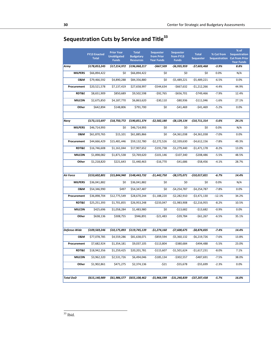# **Sequestration Cuts by Service and Title33**

|                  | <b>FY13 Enacted</b><br><b>Total</b> | <b>Prior Year</b><br><b>Unobligated</b><br><b>Funds</b> | <b>Total</b><br><b>Budgetary</b><br><b>Resources</b> | <b>Sequester</b><br>from Prior<br><b>Year Funds</b> | <b>Sequester</b><br>from FY13<br><b>Funds</b> | <b>Total</b><br><b>Sequester</b> | % Cut from<br><b>Sequestration</b> | % of<br><b>Sequestration</b><br><b>Cut from Prior</b><br><b>Year Funds</b> |
|------------------|-------------------------------------|---------------------------------------------------------|------------------------------------------------------|-----------------------------------------------------|-----------------------------------------------|----------------------------------|------------------------------------|----------------------------------------------------------------------------|
| Army             | \$178,853,245                       | \$17,214,972                                            | \$196,068,217                                        | -\$667,509                                          | -\$6,935,959                                  | -\$7,603,468                     | $-3.9%$                            | 8.8%                                                                       |
| <b>MILPERS</b>   | \$66,894,422                        | \$0                                                     | \$66,894,422                                         | \$0                                                 | \$0                                           | \$0                              | 0.0%                               | N/A                                                                        |
| <b>0&amp;M</b>   | \$79,466,592                        | \$4,890,288                                             | \$84,356,880                                         | \$0                                                 | $-$5,489,221$                                 | $-$5,489,221$                    | $-6.5%$                            | 0.0%                                                                       |
| Procurement      | \$20,521,578                        | \$7,137,419                                             | \$27,658,997                                         | -\$544,634                                          | $-$667,632$                                   | $-$1,212,266$                    | $-4.4%$                            | 44.9%                                                                      |
| <b>RDT&amp;E</b> | \$8,651,909                         | \$850,689                                               | \$9,502,598                                          | $-$92,765$                                          | $-$656,701$                                   | $-$749,466$                      | $-7.9%$                            | 12.4%                                                                      |
| <b>MILCON</b>    | \$2,675,850                         | \$4,187,770                                             | \$6,863,620                                          | $-530,110$                                          | -\$80,936                                     | $-$111,046$                      | $-1.6%$                            | 27.1%                                                                      |
| Other            | \$642,894                           | \$148,806                                               | \$791,700                                            | \$0                                                 | $-541,469$                                    | $-541,469$                       | $-5.2%$                            | 0.0%                                                                       |
|                  |                                     |                                                         |                                                      |                                                     |                                               |                                  |                                    |                                                                            |
| Navy             | \$173,115,697                       | \$18,750,772                                            | \$190,851,374                                        | -\$2,582,180                                        | -\$8,129,134                                  | -\$10,711,314                    | $-5.6%$                            | 24.1%                                                                      |
| <b>MILPERS</b>   | \$46,714,993                        | \$0                                                     | \$46,714,993                                         | \$0                                                 | \$0                                           | \$0                              | 0.0%                               | N/A                                                                        |
| <b>0&amp;M</b>   | \$61,870,765                        | \$15,101                                                | \$61,885,866                                         | \$0                                                 | $-$4,361,038$                                 | $-$4,361,038$                    | $-7.0%$                            | 0.0%                                                                       |
| Procurement      | \$44,666,429                        | \$15,481,446                                            | \$59,132,780                                         | $-$2,272,526$                                       | $-$2,339,630$                                 | $-$4,612,156$                    | $-7.8%$                            | 49.3%                                                                      |
| <b>RDT&amp;E</b> | \$16,746,608                        | \$1,161,044                                             | \$17,907,652                                         | $-$191,738$                                         | $-$1,279,440$                                 | $-$1,471,178$                    | $-8.2%$                            | 13.0%                                                                      |
| <b>MILCON</b>    | \$1,898,082                         | \$1,871,538                                             | \$3,769,620                                          | $-$101,146$                                         | $-$107,340$                                   | $-$208,486$                      | $-5.5%$                            | 48.5%                                                                      |
| Other            | \$1,218,820                         | \$221,643                                               | \$1,440,463                                          | $-$16,770$                                          | $-541,686$                                    | $-$58,456$                       | $-4.1%$                            | 28.7%                                                                      |
|                  |                                     |                                                         |                                                      |                                                     |                                               |                                  |                                    |                                                                            |
| Air Force        | \$153,602,801                       | \$15,844,940                                            | \$148,443,732                                        | -\$1,442,750                                        | -\$8,575,071                                  | -\$10,017,821                    | $-6.7%$                            | 14.4%                                                                      |
| <b>MILPERS</b>   | \$36,041,882                        | \$0                                                     | \$36,041,882                                         | \$0                                                 | \$0                                           | \$0                              | 0.0%                               | N/A                                                                        |
| <b>0&amp;M</b>   | \$54,346,990                        | \$497                                                   | \$54,347,487                                         | \$0                                                 | $-$4,254,787$                                 | $-$4,254,787$                    | $-7.8%$                            | 0.0%                                                                       |
| Procurement      | \$36,898,704                        | \$12,775,549                                            | \$28,670,244                                         | $-$1,188,220$                                       | $-52,282,910$                                 | $-53,471,130$                    | $-12.1%$                           | 34.2%                                                                      |
| <b>RDT&amp;E</b> | \$25,251,393                        | \$1,701,855                                             | \$26,953,248                                         | $-$233,047$                                         | $-$1,983,908$                                 | $-$2,216,955$                    | $-8.2%$                            | 10.5%                                                                      |
| <b>MILCON</b>    | \$425,696                           | \$1,058,284                                             | \$1,483,980                                          | \$0                                                 | $-$13,682$                                    | $-$13,682$                       | $-0.9%$                            | 0.0%                                                                       |
| Other            | \$638,136                           | \$308,755                                               | \$946,891                                            | -\$21,483                                           | -\$39,784                                     | $-561,267$                       | $-6.5%$                            | 35.1%                                                                      |
|                  |                                     |                                                         |                                                      |                                                     |                                               |                                  |                                    |                                                                            |
| Defense-Wide     | \$109,569,246                       | \$10,175,893                                            | \$119,745,139                                        | -\$1,274,160                                        | $-57,600,675$                                 | -\$8,874,835                     | $-7.4%$                            | 14.4%                                                                      |
| <b>0&amp;M</b>   | \$77,078,785                        | \$4,559,286                                             | \$81,638,071                                         | -\$859,594                                          | $-$5,360,132$                                 | $-56,219,726$                    | $-7.6%$                            | 13.8%                                                                      |
| Procurement      | \$7,682,924                         | \$1,354,181                                             | \$9,037,105                                          | $-$113,804$                                         | -\$380,684                                    | $-$494,488$                      | $-5.5%$                            | 23.0%                                                                      |
| <b>RDT&amp;E</b> | \$18,942,356                        | \$1,259,425                                             | \$20,201,781                                         | -\$115,607                                          | $-$1,501,624$                                 | $-$1,617,231$                    | $-8.0%$                            | 7.1%                                                                       |
| MILCON           | \$3,962,320                         | \$2,531,726                                             | \$6,494,046                                          | -\$185,134                                          | $-$302,557$                                   | $-$487,691$                      | $-7.5%$                            | 38.0%                                                                      |
| Other            | \$1,902,861                         | \$471,275                                               | \$2,374,136                                          | $-521$                                              | -\$55,678                                     | -\$55,699                        | $-2.3%$                            | 0.0%                                                                       |
|                  |                                     |                                                         |                                                      |                                                     |                                               |                                  |                                    |                                                                            |
| Total DoD        | \$615,140,989                       | \$61,986,577                                            | \$655,108,462                                        | -\$5,966,599                                        | -\$31,240,839                                 | -\$37,207,438                    | -5.7%                              | 16.0%                                                                      |
|                  |                                     |                                                         |                                                      |                                                     |                                               |                                  |                                    |                                                                            |

 $33$  Ibid.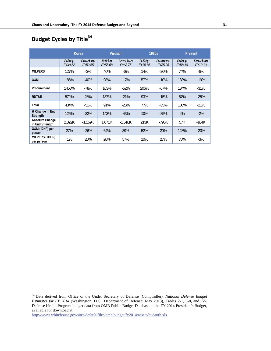# **Budget Cycles by Title34**

|                                    | Korea              |                            | Vietnam            |                            | 1980s              |                            | Present            |                            |
|------------------------------------|--------------------|----------------------------|--------------------|----------------------------|--------------------|----------------------------|--------------------|----------------------------|
|                                    | Buildup<br>FY49-52 | <b>Drawdown</b><br>FY52-55 | Buildup<br>FY55-68 | <b>Drawdown</b><br>FY68-75 | Buildup<br>FY75-85 | <i>Drawdown</i><br>FY85-98 | Buildup<br>FY98-10 | <b>Drawdown</b><br>FY10-13 |
| <b>MILPERS</b>                     | 127%               | $-3%$                      | 46%                | $-6%$                      | 14%                | $-26%$                     | 74%                | $-6%$                      |
| <b>O&amp;M</b>                     | 186%               | $-40%$                     | 98%                | $-17%$                     | 57%                | $-10%$                     | 133%               | $-19%$                     |
| Procurement                        | 1458%              | $-78%$                     | 163%               | $-52%$                     | 206%               | $-67%$                     | 134%               | $-31%$                     |
| RDT&E                              | 572%               | 28%                        | 137%               | $-21%$                     | 93%                | $-15%$                     | 67%                | $-25%$                     |
| Total                              | 434%               | $-51%$                     | 91%                | $-25%$                     | 77%                | $-35%$                     | 108%               | $-21%$                     |
| % Change in End<br>Strength        | 125%               | $-32%$                     | 143%               | $-43%$                     | 10%                | $-35%$                     | 4%                 | $-2\%$                     |
| Absolute Change<br>in End Strength | 2.022K             | $-1,159K$                  | 1,071K             | $-1,516K$                  | 213K               | $-795K$                    | 57K                | $-104K$                    |
| O&M (-DHP) per<br>person           | 27%                | $-26%$                     | 64%                | 39%                        | 52%                | 20%                        | 128%               | $-20%$                     |
| MILPERS (+DHP)<br>per person       | 1%                 | 20%                        | 20%                | 57%                        | 10%                | 27%                        | 76%                | $-3%$                      |

http://www.whitehouse.gov/sites/default/files/omb/budget/fy2014/assets/budauth.xls.

<sup>34</sup> Data derived from Office of the Under Secretary of Defense (Comptroller), *National Defense Budget Estimates for FY 2014* (Washington, D.C., Department of Defense: May 2013), Tables 2-1, 6-8, and 7-5. Defense Health Program budget data from OMB Public Budget Database in the FY 2014 President's Budget, available for download at: